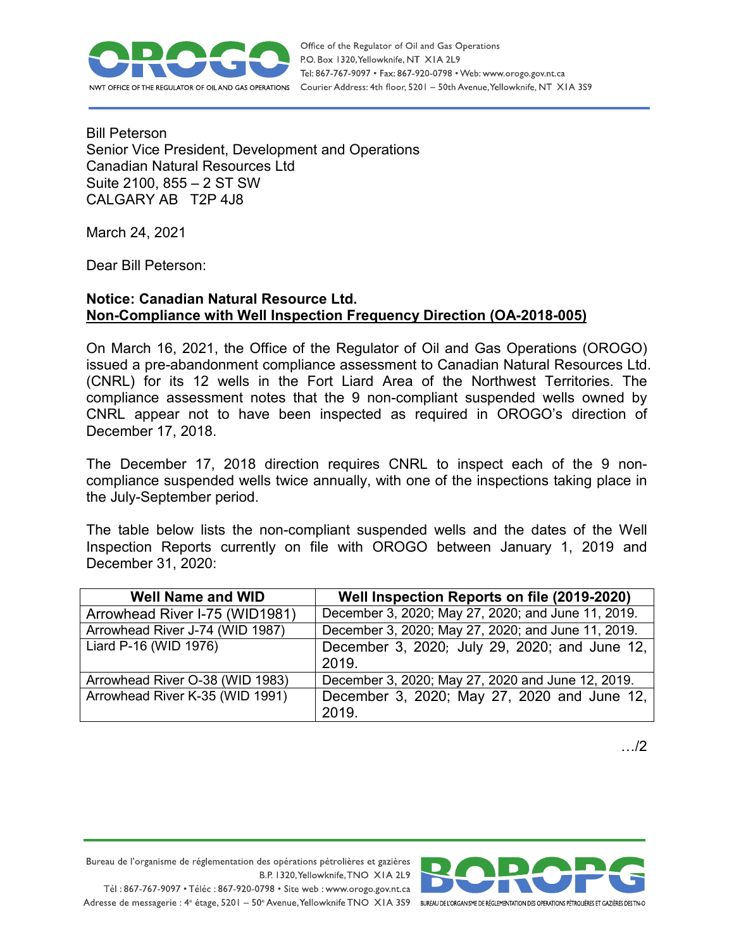

Bill Peterson Senior Vice President, Development and Operations Canadian Natural Resources Ltd Suite 2100, 855 – 2 ST SW CALGARY AB T2P 4J8

March 24, 2021

Dear Bill Peterson:

## **Notice: Canadian Natural Resource Ltd. Non-Compliance with Well Inspection Frequency Direction (OA-2018-005)**

On March 16, 2021, the Office of the Regulator of Oil and Gas Operations (OROGO) issued a pre-abandonment compliance assessment to Canadian Natural Resources Ltd. (CNRL) for its 12 wells in the Fort Liard Area of the Northwest Territories. The compliance assessment notes that the 9 non-compliant suspended wells owned by CNRL appear not to have been inspected as required in OROGO's direction of December 17, 2018.

The December 17, 2018 direction requires CNRL to inspect each of the 9 noncompliance suspended wells twice annually, with one of the inspections taking place in the July-September period.

The table below lists the non-compliant suspended wells and the dates of the Well Inspection Reports currently on file with OROGO between January 1, 2019 and December 31, 2020:

| <b>Well Name and WID</b>        | Well Inspection Reports on file (2019-2020)        |
|---------------------------------|----------------------------------------------------|
| Arrowhead River I-75 (WID1981)  | December 3, 2020; May 27, 2020; and June 11, 2019. |
| Arrowhead River J-74 (WID 1987) | December 3, 2020; May 27, 2020; and June 11, 2019. |
| Liard P-16 (WID 1976)           | December 3, 2020; July 29, 2020; and June 12,      |
|                                 | 2019.                                              |
| Arrowhead River O-38 (WID 1983) | December 3, 2020; May 27, 2020 and June 12, 2019.  |
| Arrowhead River K-35 (WID 1991) | December 3, 2020; May 27, 2020 and June 12,        |
|                                 | 2019.                                              |

…/2

Bureau de l'organisme de réglementation des opérations pétrolières et gazières B.P. 1320, Yellowknife, TNO XIA 2L9

Tél: 867-767-9097 • Téléc: 867-920-0798 • Site web: www.orogo.gov.nt.ca Adresse de messagerie : 4<sup>e</sup> étage, 5201 - 50° Avenue, Yellowknife TNO XIA 3S9 BUREAU DEL'ORGANISME DE RÉGLEMENTATION DES OPERATIONS PÉTROLIÈRES ET GAZIÈRES DESTNO